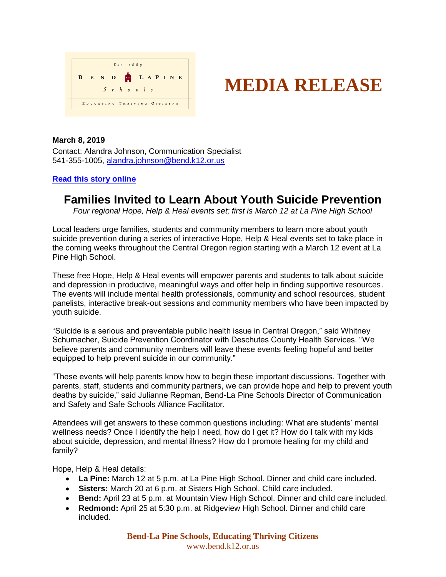

# **MEDIA RELEASE**

#### **March 8, 2019**

Contact: Alandra Johnson, Communication Specialist 541-355-1005, [alandra.johnson@bend.k12.or.us](mailto:alandra.johnson@bend.k12.or.us)

### **[Read this story online](https://www.bend.k12.or.us/district/news-events/news/2019/03/learn-about-youth-suicide-prevention)**

## **Families Invited to Learn About Youth Suicide Prevention**

*Four regional Hope, Help & Heal events set; first is March 12 at La Pine High School*

Local leaders urge families, students and community members to learn more about youth suicide prevention during a series of interactive Hope, Help & Heal events set to take place in the coming weeks throughout the Central Oregon region starting with a March 12 event at La Pine High School.

These free Hope, Help & Heal events will empower parents and students to talk about suicide and depression in productive, meaningful ways and offer help in finding supportive resources. The events will include mental health professionals, community and school resources, student panelists, interactive break-out sessions and community members who have been impacted by youth suicide.

"Suicide is a serious and preventable public health issue in Central Oregon," said Whitney Schumacher, Suicide Prevention Coordinator with Deschutes County Health Services. "We believe parents and community members will leave these events feeling hopeful and better equipped to help prevent suicide in our community."

"These events will help parents know how to begin these important discussions. Together with parents, staff, students and community partners, we can provide hope and help to prevent youth deaths by suicide," said Julianne Repman, Bend-La Pine Schools Director of Communication and Safety and Safe Schools Alliance Facilitator.

Attendees will get answers to these common questions including: What are students' mental wellness needs? Once I identify the help I need, how do I get it? How do I talk with my kids about suicide, depression, and mental illness? How do I promote healing for my child and family?

Hope, Help & Heal details:

- **La Pine:** March 12 at 5 p.m. at La Pine High School. Dinner and child care included.
- **Sisters:** March 20 at 6 p.m. at Sisters High School. Child care included.
- **Bend:** April 23 at 5 p.m. at Mountain View High School. Dinner and child care included.
- **Redmond:** April 25 at 5:30 p.m. at Ridgeview High School. Dinner and child care included.